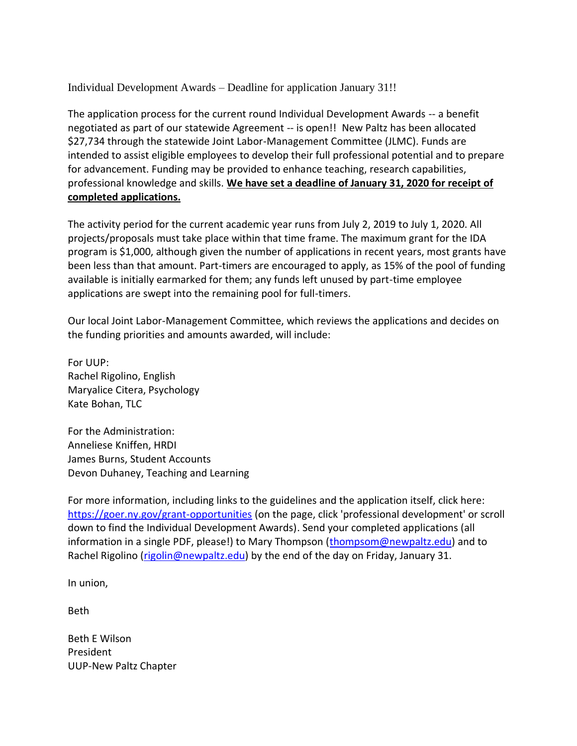Individual Development Awards – Deadline for application January 31!!

The application process for the current round Individual Development Awards -- a benefit negotiated as part of our statewide Agreement -- is open!! New Paltz has been allocated \$27,734 through the statewide Joint Labor-Management Committee (JLMC). Funds are intended to assist eligible employees to develop their full professional potential and to prepare for advancement. Funding may be provided to enhance teaching, research capabilities, professional knowledge and skills. **We have set a deadline of January 31, 2020 for receipt of completed applications.**

The activity period for the current academic year runs from July 2, 2019 to July 1, 2020. All projects/proposals must take place within that time frame. The maximum grant for the IDA program is \$1,000, although given the number of applications in recent years, most grants have been less than that amount. Part-timers are encouraged to apply, as 15% of the pool of funding available is initially earmarked for them; any funds left unused by part-time employee applications are swept into the remaining pool for full-timers.

Our local Joint Labor-Management Committee, which reviews the applications and decides on the funding priorities and amounts awarded, will include:

For UUP: Rachel Rigolino, English Maryalice Citera, Psychology Kate Bohan, TLC

For the Administration: Anneliese Kniffen, HRDI James Burns, Student Accounts Devon Duhaney, Teaching and Learning

For more information, including links to the guidelines and the application itself, click here: <https://goer.ny.gov/grant-opportunities> (on the page, click 'professional development' or scroll down to find the Individual Development Awards). Send your completed applications (all information in a single PDF, please!) to Mary Thompson [\(thompsom@newpaltz.edu\)](mailto:thompsom@newpaltz.edu) and to Rachel Rigolino [\(rigolin@newpaltz.edu\)](mailto:rigolin@newpaltz.edu) by the end of the day on Friday, January 31.

In union,

Beth

Beth E Wilson President UUP-New Paltz Chapter